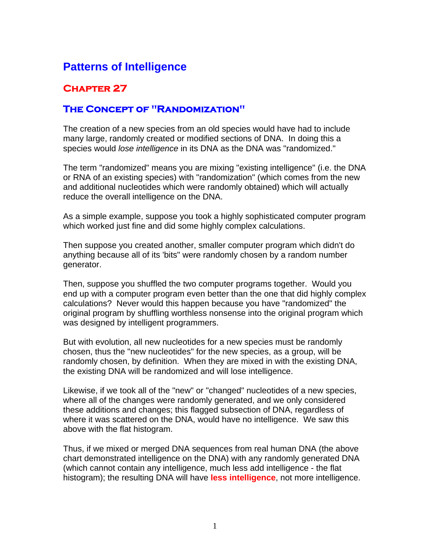## **Patterns of Intelligence**

## **Chapter 27**

## **The Concept of "Randomization"**

The creation of a new species from an old species would have had to include many large, randomly created or modified sections of DNA. In doing this a species would *lose intelligence* in its DNA as the DNA was "randomized."

The term "randomized" means you are mixing "existing intelligence" (i.e. the DNA or RNA of an existing species) with "randomization" (which comes from the new and additional nucleotides which were randomly obtained) which will actually reduce the overall intelligence on the DNA.

As a simple example, suppose you took a highly sophisticated computer program which worked just fine and did some highly complex calculations.

Then suppose you created another, smaller computer program which didn't do anything because all of its 'bits" were randomly chosen by a random number generator.

Then, suppose you shuffled the two computer programs together. Would you end up with a computer program even better than the one that did highly complex calculations? Never would this happen because you have "randomized" the original program by shuffling worthless nonsense into the original program which was designed by intelligent programmers.

But with evolution, all new nucleotides for a new species must be randomly chosen, thus the "new nucleotides" for the new species, as a group, will be randomly chosen, by definition. When they are mixed in with the existing DNA, the existing DNA will be randomized and will lose intelligence.

Likewise, if we took all of the "new" or "changed" nucleotides of a new species, where all of the changes were randomly generated, and we only considered these additions and changes; this flagged subsection of DNA, regardless of where it was scattered on the DNA, would have no intelligence. We saw this above with the flat histogram.

Thus, if we mixed or merged DNA sequences from real human DNA (the above chart demonstrated intelligence on the DNA) with any randomly generated DNA (which cannot contain any intelligence, much less add intelligence - the flat histogram); the resulting DNA will have **less intelligence**, not more intelligence.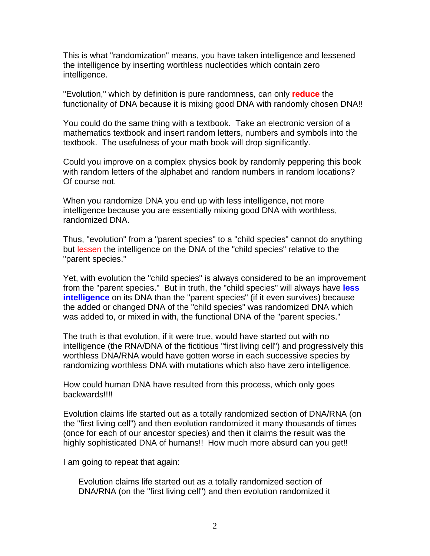This is what "randomization" means, you have taken intelligence and lessened the intelligence by inserting worthless nucleotides which contain zero intelligence.

"Evolution," which by definition is pure randomness, can only **reduce** the functionality of DNA because it is mixing good DNA with randomly chosen DNA!!

You could do the same thing with a textbook. Take an electronic version of a mathematics textbook and insert random letters, numbers and symbols into the textbook. The usefulness of your math book will drop significantly.

Could you improve on a complex physics book by randomly peppering this book with random letters of the alphabet and random numbers in random locations? Of course not.

When you randomize DNA you end up with less intelligence, not more intelligence because you are essentially mixing good DNA with worthless, randomized DNA.

Thus, "evolution" from a "parent species" to a "child species" cannot do anything but lessen the intelligence on the DNA of the "child species" relative to the "parent species."

Yet, with evolution the "child species" is always considered to be an improvement from the "parent species." But in truth, the "child species" will always have **less intelligence** on its DNA than the "parent species" (if it even survives) because the added or changed DNA of the "child species" was randomized DNA which was added to, or mixed in with, the functional DNA of the "parent species."

The truth is that evolution, if it were true, would have started out with no intelligence (the RNA/DNA of the fictitious "first living cell") and progressively this worthless DNA/RNA would have gotten worse in each successive species by randomizing worthless DNA with mutations which also have zero intelligence.

How could human DNA have resulted from this process, which only goes backwards!!!!

Evolution claims life started out as a totally randomized section of DNA/RNA (on the "first living cell") and then evolution randomized it many thousands of times (once for each of our ancestor species) and then it claims the result was the highly sophisticated DNA of humans!! How much more absurd can you get!!

I am going to repeat that again:

Evolution claims life started out as a totally randomized section of DNA/RNA (on the "first living cell") and then evolution randomized it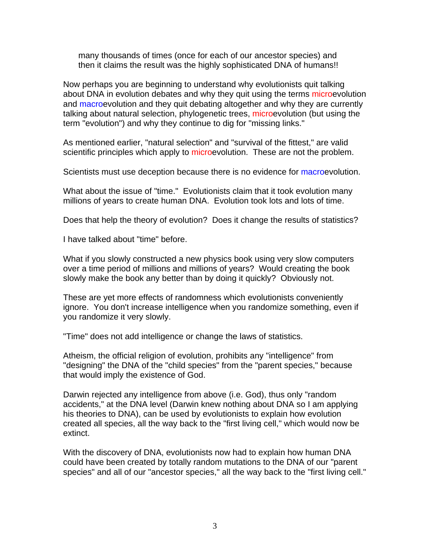many thousands of times (once for each of our ancestor species) and then it claims the result was the highly sophisticated DNA of humans!!

Now perhaps you are beginning to understand why evolutionists quit talking about DNA in evolution debates and why they quit using the terms microevolution and macroevolution and they quit debating altogether and why they are currently talking about natural selection, phylogenetic trees, microevolution (but using the term "evolution") and why they continue to dig for "missing links."

As mentioned earlier, "natural selection" and "survival of the fittest," are valid scientific principles which apply to microevolution. These are not the problem.

Scientists must use deception because there is no evidence for macroevolution.

What about the issue of "time." Evolutionists claim that it took evolution many millions of years to create human DNA. Evolution took lots and lots of time.

Does that help the theory of evolution? Does it change the results of statistics?

I have talked about "time" before.

What if you slowly constructed a new physics book using very slow computers over a time period of millions and millions of years? Would creating the book slowly make the book any better than by doing it quickly? Obviously not.

These are yet more effects of randomness which evolutionists conveniently ignore. You don't increase intelligence when you randomize something, even if you randomize it very slowly.

"Time" does not add intelligence or change the laws of statistics.

Atheism, the official religion of evolution, prohibits any "intelligence" from "designing" the DNA of the "child species" from the "parent species," because that would imply the existence of God.

Darwin rejected any intelligence from above (i.e. God), thus only "random accidents," at the DNA level (Darwin knew nothing about DNA so I am applying his theories to DNA), can be used by evolutionists to explain how evolution created all species, all the way back to the "first living cell," which would now be extinct.

With the discovery of DNA, evolutionists now had to explain how human DNA could have been created by totally random mutations to the DNA of our "parent species" and all of our "ancestor species," all the way back to the "first living cell."